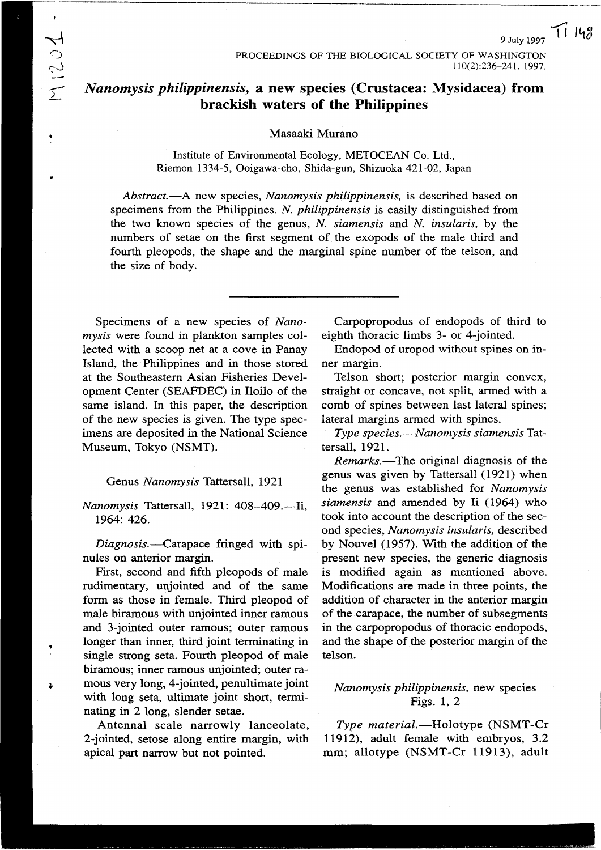## *Nanomysis philippinensis,* **a new species (Crustacea: Mysidacea) from brackish waters** *of* **the Philippines**

#### Masaaki Murano

Institute of Environmental Ecology, METOCEAN Co. Ltd., Riemon 1334-5, Ooigawa-cho, Shida-gun, Shizuoka 421-02, Japan

*Abstract.-A* new species, *Nanomysis philippinensis,* is described based on specimens from the Philippines. *N. philippinensis* is easily distinguished from the two known species of the genus, *N. siamensis* and *N. insularis*, by the numbers of setae on the first segment of the exopods of the male third and fourth pleopods, the shape and the marginal spine number of the telson, and the size of body.

Specimens of a new species of *Nanomysis* were found in plankton samples collected with a scoop net at a cove in Panay Island, the Philippines and in those stored at the Southeastern Asian Fisheries Development Center (SEAFDEC) in Iloilo of the same island. In this paper, the description of the new species is given. The type specimens are deposited in the National Science Museum, Tokyo (NSMT).

#### *Genus Nanomysis* Tattersall, 1921

*Nanomysis* Tattersall, 1921: 408-409.-Ii, 1964: 426.

*Diagnosis.-Carapace* fringed with Splnules on anterior margin.

First, second and fifth pleopods of male rudimentary, unjointed and of the same form as those in female. Third pleopod of male biramous with unjointed inner ramous and 3-jointed outer ramous; outer ramous longer than inner, third joint terminating in single strong seta. Fourth pleopod of male biramous; inner ramous unjointed; outer ramous very long, 4-jointed, penultimate joint with long seta, ultimate joint short, terminating in 2 long, slender setae.

Antennal scale narrowly lanceolate, 2-jointed, setose along entire margin, with apical part narrow but not pointed.

Carpopropodus of endopods of third to eighth thoracic limbs 3- or 4-jointed.

Endopod of uropod without spines on inner margin.

Telson short; posterior margin convex, straight or concave, not split, armed with a comb of spines between last lateral spines; lateral margins armed with spines.

*Type species.-Nanomysis siamensis* Tattersall, 1921.

*Remarks.-* The original diagnosis of the genus was given by Tattersall (1921) when the genus was established for *Nanomysis siamensis* and amended by Ii (1964) who took into account the description of the second species, *Nanomysis insularis*, described by Nouvel (1957). With the addition of the present new species, the generic diagnosis is modified again as mentioned above. Modifications are made in three points, the addition of character in the anterior margin of the carapace, the number of subsegments in the carpopropodus of thoracic endopods, and the shape of the posterior margin of the telson.

### *Nanomysis philippinensis,* new species Figs. 1, 2

*Type material*.-Holotype (NSMT-Cr 11912), adult female with embryos, 3.2 mm; allotype (NSMT-Cr 11913), adult

)<br>}<br>} ('.~) ~ *L*

~.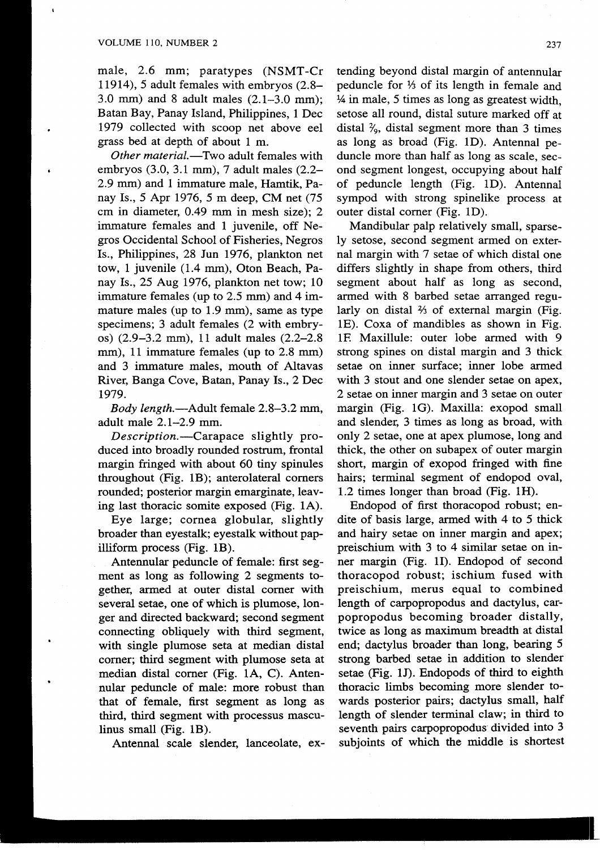male, 2.6 mm; paratypes (NSMT-Cr 11914), 5 adult females with embryos (2.8-3.0 mm) and 8 adult males (2.1-3.0 mm); Batan Bay, Panay Island, Philippines, 1 Dec 1979 collected with scoop net above eel grass bed at depth of about 1 m.

*Other materia/.-* Two adult females with embryos (3.0, 3.1 mm), 7 adult males (2.2- 2.9 mm) and 1 immature male, Hamtik, Panay Is., 5 Apr 1976, 5 m deep, CM net (75 cm in diameter, 0.49 mm in mesh size); 2 immature females and 1 juvenile, off Negros Occidental School of Fisheries, Negros Is., Philippines, 28 Jun 1976, plankton net tow, 1 juvenile (1.4 mm), Oton Beach, Panay Is., 25 Aug 1976, plankton net tow; 10 immature females (up to 2.5 mm) and 4 immature males (up to 1.9 mm), same as type specimens; 3 adult females (2 with embryos) (2.9-3.2 mm), 11 adult males (2.2-2.8 mm), 11 immature females (up to 2.8 mm) and 3 immature males, mouth of Altavas River, Banga Cove, Batan, Panay Is., 2 Dec 1979.

*Body length.-Adult* female 2.8-3.2 mm, adult male 2.1-2.9 mm.

*Description.-Carapace* slightly produced into broadly rounded rostrum, frontal margin fringed with about 60 tiny spinules throughout (Fig. *1B);* anterolateral comers rounded; posterior margin emarginate, leaving last thoracic somite exposed (Fig. 1A).

Eye large; cornea globular, slightly broader than eyesta1k; eyestalk without papilliform process (Fig. *1B).*

Antennular peduncle of female: first segment as long as following 2 segments together, armed at outer distal comer with several setae, one of which is plumose, longer and directed backward; second segment connecting obliquely with third segment, with single plumose seta at median distal comer; third segment with plumose seta at median distal comer (Fig. lA, C). Antennular peduncle of male: more robust than that of female, first segment as long as third, third segment with processus masculinus small (Fig. IB).

Antennal scale slender, lanceolate, ex-

tending beyond distal margin of antennular peduncle for  $\frac{1}{3}$  of its length in female and  $\frac{1}{4}$  in male, 5 times as long as greatest width. setose all round, distal suture marked off at distal  $\frac{2}{3}$ , distal segment more than 3 times as long as broad (Fig. 1D). Antennal peduncle more than half as long as scale, second segment longest, occupying about half of peduncle length (Fig. 1D). Antennal sympod with strong spinelike process at outer distal comer (Fig. 1D).

Mandibular palp relatively small, sparsely setose, second segment armed on external margin with 7 setae of which distal one differs slightly in shape from others, third segment about half as long as second, armed with 8 barbed setae arranged regularly on distal  $\frac{2}{3}$  of external margin (Fig. IE). Coxa of mandibles as shown in Fig. IF Maxillule: outer lobe armed with 9 strong spines on distal margin and 3 thick setae on inner surface; inner lobe armed with 3 stout and one slender setae on apex, 2 setae on inner margin and 3 setae on outer margin (Fig. 1G). Maxilla: exopod small and slender, 3 times as long as broad, with only 2 setae, one at apex plumose, long and thick, the other on subapex of outer margin short, margin of exopod fringed with fine hairs; terminal segment of endopod oval, 1.2 times longer than broad (Fig. 1H).

Endopod of first thoracopod robust; endite of basis large, armed with 4 to 5 thick and hairy setae on inner margin and apex; preischium with 3 to 4 similar setae on inner margin (Fig. 11). Endopod of second thoracopod robust; ischium fused with preischium, merus equal to combined length of carpopropodus and dactylus, carpopropodus becoming broader distally, twice as long as maximum breadth at distal end; dactylus broader than long, bearing 5 strong barbed setae in addition to slender setae (Fig. 1J). Endopods of third to eighth thoracic limbs becoming more slender towards posterior pairs; dactylus small, half length of slender terminal claw; in third to seventh pairs carpopropodus divided into 3 subjoints of which the middle is shortest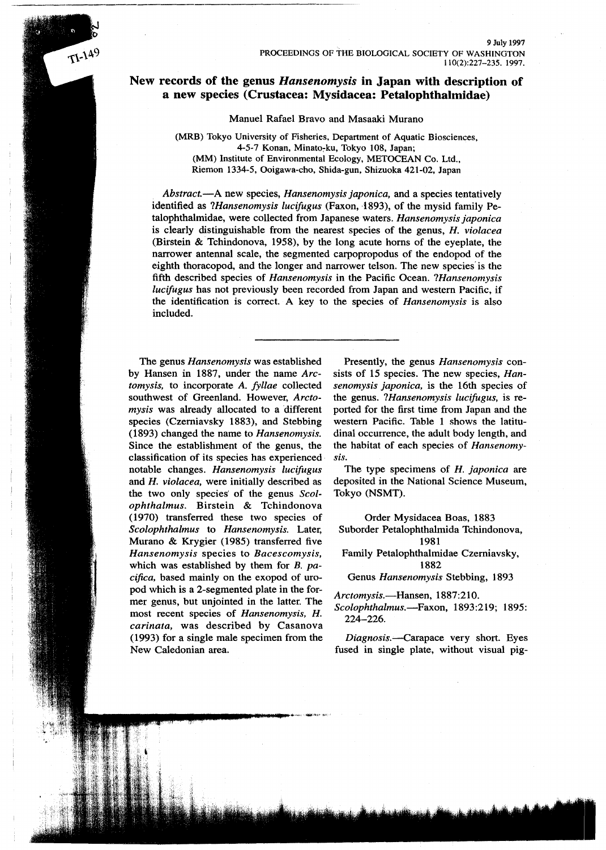#### **New records of the genus** *Hansenomysis* **in Japan with description of a new species (Crustacea: Mysidacea: Petalophthalmidae)**

Manuel Rafael Bravo and Masaaki Murano

(MRB) Tokyo University of Fisheries, Department of Aquatic Biosciences, 4-5-7 Konan, Minato~ku, Tokyo 108, Japan; (MM) Institute of Environmental Ecology, METOCEAN Co. Ltd., Riemon 1334-5, Ooigawa-cho, Shida-gun, Shizuoka 421-02, Japan

*Abstract.-A* new species, *Hansenomysis japonica,* and a species tentatively identified as *?Hansenomysis lucifugus* (Faxon, 1893), of the mysid family Petalophthalmidae, were collected from Japanese waters. *Hansenomysis japonica* is clearly distinguishable from the nearest species of the genus, *H. violacea* (Birstein & Tchindonova, 1958), by the long acute horns of the eyeplate, the narrower antennal scale, the segmented carpopropodus of the endopod of the eighth thoracopod, and the longer and narrower telson. The new species' is the fifth described species of *Hansenomysis* in the Pacific Ocean. *?Hansenomysis lucifugus* has not previously been recorded from Japan and western Pacific, if the identification is correct. A key to the species of *Hansenomysis* is also included.

*.'"",,,:::~.iM,\I'P'"* .

The genus *Hansenomysis* was established by Hansen in 1887, under the name *Arctomysis,* to incorporate *A. fyllae* collected southwest of Greenland. However, *Arctomysis* was already allocated to a different species (Czerniavsky 1883), and Stebbing (1893) changed the name to *Hansenomysis.* Since the establishment of the genus, the classification of its species has experienced notable changes. *Hansenomysis luc!fugus* and *H. violacea,* were initially described as the two only species' of the genus *Scolophthalmus.* Birstein & Tchindonova (1970) transferred these two species of *Scolophthalmus* to *Hansenomysis.* Later, Murano & Krygier (1985) transferred five *Hansenomysis* species to *Bacescomysis,* which was established by them for *B. pacifica,* based mainly on the exopod of uropod which is a 2-segmented plate in the former genus, but unjointed in the latter. The most recent species of *Hansenomysis, H. carinata,* was described by Casanova (1993) for a single male specimen from the New Caledonian area.

 $T1-149$ 

Presently, the genus *Hansenomysis* consists of 15 species. The new species, *Hansenomysis japonica,* is the 16th species of the genus. *?Hansenomysis lucifugus,* is reported for the first time from Japan and the western Pacific. Table 1 shows the latitudinal occurrence, the adult body length, and the habitat of each species of *Hansenomysis.*

The type specimens of *H. japonica* are deposited in the National Science Museum, Tokyo (NSMT).

Order Mysidacea Boas, 1883 Suborder Petalophthalmida Tchindonova, 1981 Family Petalophthalmidae Czerniavsky, 1882 Genus *Hansenomysis* Stebbing, 1893

*Arctomysis.-Hansen,* 1887:210.

*Scolophthalmus.-Faxon,* 1893:219; 1895: 224-226.

*Diagnosis.--carapace* very short. Eyes fused in single plate, without visual pig-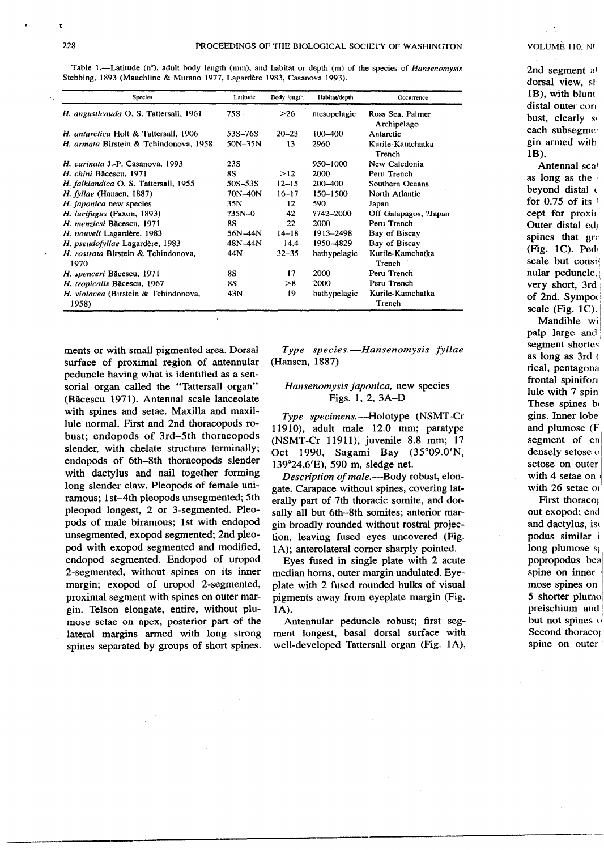VOLUME 110. N!

Table 1.—Latitude (n°), adult body length (mm), and habitat or depth (m) of the species of *Hansenomysis* Stebbing, 1893 (Mauchline & Murano 1977, Lagardere 1983, Casanova 1993).

| Species                                       | Latitude    | Body length | Habitat/depth | Occurrence                        |
|-----------------------------------------------|-------------|-------------|---------------|-----------------------------------|
| H. angusticauda O. S. Tattersall, 1961        | 75S         | >26         | mesopelagic   | Ross Sea, Palmer<br>Archipelago   |
| H. antarctica Holt & Tattersall, 1906         | 53S-76S     | $20 - 23$   | $100 - 400$   | Antarctic                         |
| H. armata Birstein & Tchindonova, 1958        | $50N-35N$   | 13          | 2960          | Kurile-Kamchatka<br><b>Trench</b> |
| H. carinata J.-P. Casanova, 1993              | 23S         |             | 950-1000      | New Caledonia                     |
| H. chini Băcescu, 1971                        | 88          | >12         | 2000          | Peru Trench                       |
| H. falklandica O. S. Tattersall, 1955         | $50S - 53S$ | $12 - 15$   | 200-400       | Southern Oceans                   |
| H. fyllae (Hansen, 1887)                      | 70N-40N     | $16 - 17$   | 150-1500      | North Atlantic                    |
| H. japonica new species                       | 35N         | 12          | 590           | Japan                             |
| H. lucifugus (Faxon, 1893)                    | $735N - 0$  | 42          | ?742-2000     | Off Galapagos, ?Japan             |
| H. menziesi Băcescu, 1971                     | <b>8S</b>   | 22          | 2000          | Peru Trench                       |
| H. nouveli Lagardère, 1983                    | 56N-44N     | $14 - 18$   | 1913-2498     | Bay of Biscay                     |
| H. pseudofyllae Lagardère, 1983               | 48N-44N     | 14.4        | 1950-4829     | Bay of Biscay                     |
| H. rostrata Birstein & Tchindonova,<br>1970   | 44N         | $32 - 35$   | bathypelagic  | Kurile-Kamchatka<br>Trench        |
| H. spenceri Băcescu, 1971                     | 8S          | 17          | 2000          | Peru Trench                       |
| H. tropicalis Băcescu, 1967                   | <b>8S</b>   | >8          | 2000          | Peru Trench                       |
| H. violacea (Birstein & Tchindonova,<br>1958) | 43N         | 19          | bathypelagic  | Kurile-Kamchatka<br>Trench        |

ments or with small pigmented area. Dorsal surface of proximal region of antennular peduncle having what is identified as a sensorial organ called the "Tattersall organ" (Bacescu 1971). Antennal scale lanceolate with spines and setae. Maxilla and maxillule normal. First and 2nd thoracopods robust; endopods of 3rd-5th thoracopods slender, with chelate structure terminally; endopods of 6th-8th thoracopods slender with dactylus and nail together forming long slender claw. Pleopods of female uniramous; 1st-4th pleopods unsegmented; 5th pleopod longest, 2 or 3-segmented. Pleopods of male biramous; 1st with endopod unsegmented, exopod segmented; 2nd pleopod with exopod segmented and modified, endopod segmented. Endopod of uropod 2-segmented, without spines on its inner margin; exopod of uropod 2-segmented, proximal segment with spines on outer margin. Telson elongate, entire, without plumose setae on apex, posterior part of the lateral margins armed with long strong spines separated by groups of short spines.

*Type species.-Hansenomysis fyllae* (Hansen, 1887)

#### *Hansenomysis japonica,* new species Figs. I, 2, 3A-D

*Type specimens.*—Holotype (NSMT-Cr 11910), adult male 12.0 mm; paratype (NSMT-Cr 11911), juvenile 8.8 mm; 17 Oct 1990, Sagami Bay (35°09.0'N, 139°24.6'E), 590 m, sledge net.

*Description of male*.--Body robust, elongate. Carapace without spines, covering laterally part of 7th thoracic somite, and dorsally all but 6th-8th somites; anterior margin broadly rounded without rostral projection, leaving fused eyes uncovered (Fig. lA); anterolateral comer sharply pointed.

Eyes fused in single plate with 2 acute median horns, outer margin undulated. Eyeplate with 2 fused rounded bulks of visual pigments away from eyeplate margin (Fig. lA).

Antennular peduncle robust; first segment longest, basal dorsal surface with well-developed Tattersall organ (Fig. lA), 2nd segment al dorsal view, sl. IB), with blunt distal outer con bust, clearly so each subsegmer gin armed with IB).

Antennal scal as long as the' beyond distal  $\epsilon$ for  $0.75$  of its  $\frac{1}{2}$ cept for proxim Outer distal ed; spines that gra (Fig. 1C). Ped $\overline{A}$ scale but consinular peduncle, very short, 3rd of 2nd. Sympo< scale (Fig.  $1C$ ).

Mandible wi palp large and, segment shortes as long as 3rd ( rical, pentagona frontal spinifor: lule with 7 spin. These spines be gins. Inner lobe and plumose (F segment of en densely setose o setose on outer with 4 setae on with 26 setae of

First thoracol out exopod; end and dactylus, iso podus similar i long plumose s<sub>l</sub> popropodus bea spine on inner mose spines on 5 shorter plumo preischium and but not spines of Second thoraco<sub>l</sub> spine on outer

> . \_m'\_"'-'-'

u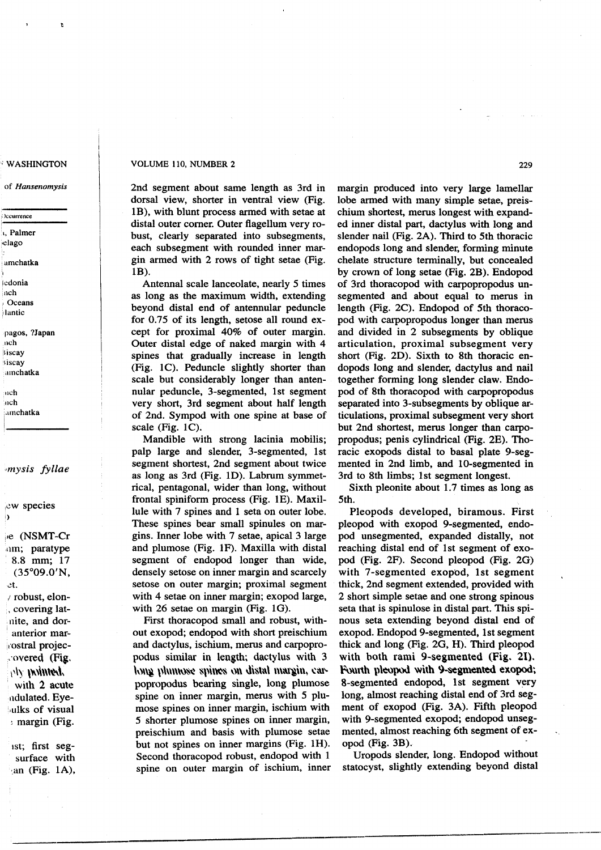#### WASHINGTON

of *Hansenomysis*

#### ;')ccurrence

1, Palme ,'clago

.amchatka

.Icdonia nch **Oceans** 

:ilantic

pagos. ?Japan neh **Biscay** siscay

"mchatka

Itch  $\ln$ ch :amchatka

#### *'mysis fyllae*

;0W species ,)

l,e (NSMT-Cr inm; paratype 8.8 mm; 17 (35°09.0'N. 0t. *I* robust, elon-

. covering latnite, and doranterior mar rostral projec-,'overeQ (Fli.  $\langle \psi \rangle$   $\langle \psi \rangle$  in  $\langle \psi \rangle$ with 2 acute ndulated. Eye ulks of visual : margin (Fig.

1St; first segsurface with  $\alpha$  (Fig. 1A),

**---**

#### VOLUME 110, NUMBER 2

2nd segment about same length as 3rd in dorsal view, shorter in ventral view (Fig. IB), with blunt process armed with setae at distal outer comer. Outer flagellum very robust, clearly separated into subsegments, each sub segment with rounded inner margin armed with 2 rows of tight setae (Fig. IB).

Antennal scale lanceolate, nearly 5 times as long as the maximum width, extending beyond distal end of antennular peduncle for 0.75 of its length, setose all round except for proximal 40% of outer margin. Outer distal edge of naked margin with 4 spines that gradually increase in length (Fig. IC). Peduncle slightly shorter than scale but considerably longer than antennular peduncle, 3-segmented, 1st segment very short, 3rd segment about half length of 2nd. Sympod with one spine at base of scale (Fig. IC).

Mandible with strong lacinia mobilis; palp large and slender, 3-segmented, 1st segment shortest, 2nd segment about twice as long as 3rd (Fig. ID). Labrum symmetrical, pentagonal, wider than long, without frontal spiniform process (Fig. IE). Maxillule with 7 spines and 1 seta on outer lobe. These spines bear small spinules on margins. Inner lobe with 7 setae, apical 3 large and plumose (Fig. IF). Maxilla with distal segment of endopod longer than wide, densely setose on inner margin and scarcely setose on outer margin; proximal segment with 4 setae on inner margin; exopod large, with 26 setae on margin (Fig. IG).

First thoracopod small and robust, without exopod; endopod with short preischium and dactylus, ischium, merus and carpopropodus similar in length; dactylus with 3 \\)\~ *\)\\\\\\~'t* ~\)h~ \)\\ \\i~\"\ \\\\\1~\\\\ ~\\1" popropodus bearing single, long plumose spine on inner margin, merus with 5 plumose spines on inner margin, ischium with 5 shorter plumose spines on inner margin, preischium and basis with plumose setae but not spines on inner margins (Fig. IH). Second thoracopod robust, endopod with 1 spine on outer margin of ischium, inner

margin produced into very large lamellar lobe armed with many simple setae, preischium shortest, merus longest with expanded inner distal part, dactylus with long and slender nail (Fig. 2A). Third to 5th thoracic endopods long and slender, forming minute chelate structure terminally, but concealed by crown of long setae (Fig. 2B). Endopod of 3rd thoracopod with carpopropodus unsegmented and about equal to merus in length (Fig. 2C). Endopod of 5th thoracopod with carpopropodus longer than merus and divided in 2 subsegments by oblique articulation, proximal subsegment very short (Fig. 2D). Sixth to 8th thoracic endopods long and slender, dactylus and nail together forming long slender claw. Endopod of 8th thoracopod with carpopropodus separated into 3-subsegments by oblique articulations, proximal subsegment very short but 2nd shortest, merus longer than carpopropodus; penis cylindrical (Fig. 2E). Thoracic exopods distal to basal plate 9-segmented in 2nd limb, and 10-segmented in 3rd to 8th limbs; 1st segment longest.

Sixth pleonite about 1.7 times as long as 5th.

Pleopods developed, biramous. First pleopod with exopod 9-segmented, endopod unsegmented, expanded distally, not reaching distal end of 1st segment of exopod (Fig. 2F). Second pleopod (Fig. 2G) with 7-segmented exopod, 1st segment thick, 2nd segment extended, provided with 2 short simple setae and one strong spinous seta that is spinulose in distal part. This spinous seta extending beyond distal end of exopod. Endopod 9-segmented, 1st segment thick and long (Fig. 2G, H). Third pleopod with both rami 9-segmented (Fig. 21). Fourth pleopod with 9-segmented exopod; 8-segmented endopod, 1st segment very long, almost reaching distal end of 3rd segment of exopod (Fig. 3A). Fifth pleopod with 9-segmented exopod; endopod unsegmented, almost reaching 6th segment of exopod (Fig. 3B).

Uropods slender, long. Endopod without statocyst, slightly extending beyond distal

-~.." '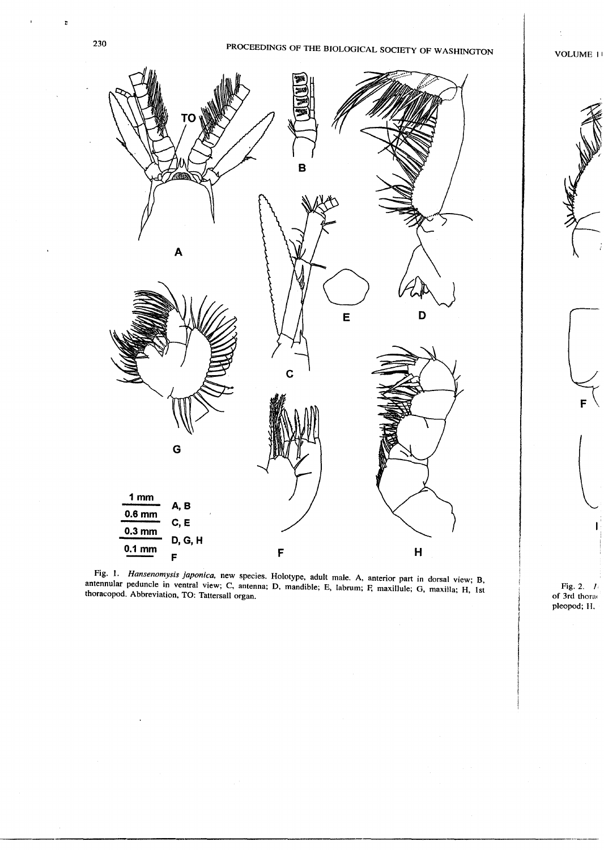D

# 230 PROCEEDINGS OF THE BIOLOGICAL SOCIETY OF WASHINGTON

VOLUME I I



Fig. 1. *Hansenomysis japonica,* new species. Holotype, adult male. A, anterior part in dorsal view; B, antennular peduncle in ventral view; C, antenna; D, mandible; E, labrum; F, maxillule; G, maxilla; H, 1st thoracopod. Abbreviation, TO: Tattersall organ.

Fig. 2. *I.* **of 3rd th**ora pleopod; H.

/

 $\mathbf{F}$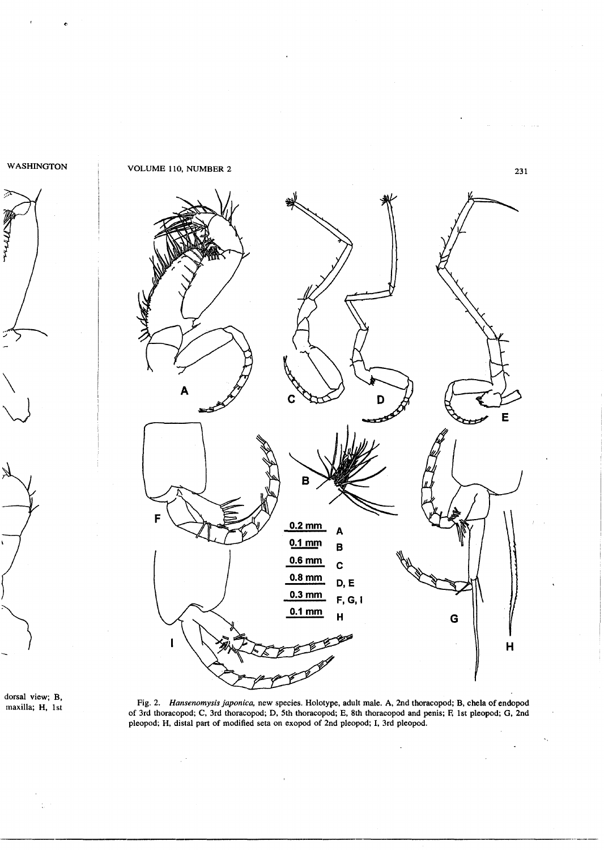

 $\mathbf{z}$ 









Fig. 2. *Hansenomysis japonica.* new species. Holotype, adult male. A, 2nd thoracopod; B, chela of endopod of 3rd thoracopod; C, 3rd thoracopod; D, 5th thoracopod; E, 8th thoracopod and penis; F; 1st pleopod; G, 2nd pleopod; H, distal part of modified seta on exopod of 2nd pleopod; I, 3rd pleopod.

 $\mathbb{R}^3$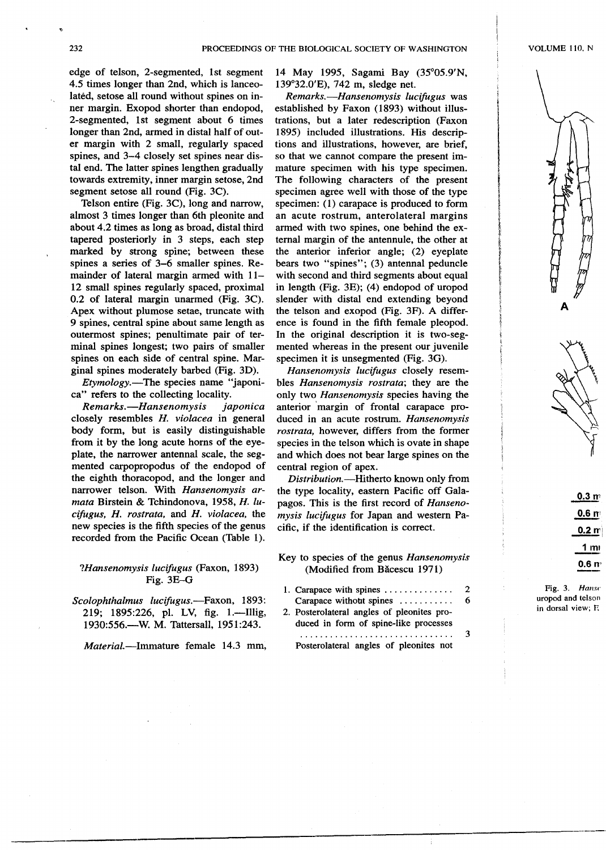edge of telson, 2-segmented, 1st segment 4.5 times longer than 2nd, which is lanceolated, setose all round without spines on inner margin. Exopod shorter than endopod, 2-segmented, 1st segment about 6 times longer than 2nd, armed in distal half of outer margin with 2 small, regularly spaced spines, and 3-4 closely set spines near distal end. The latter spines lengthen gradually towards extremity, inner margin setose, 2nd segment setose all round (Fig. 3C).

Telson entire (Fig. 3C), long and narrow, almost 3 times longer than 6th pleonite and about 4.2 times as long as broad, distal third tapered posteriorly in 3 steps, each step marked by strong spine; between these spines a series of 3-6 smaller spines. Remainder of lateral margin armed with 11- 12 small spines regularly spaced, proximal 0.2 of lateral margin unarmed (Fig. 3C). Apex without plumose setae, truncate with 9 spines, central spine about same length as outermost spines; penultimate pair of terminal spines longest; two pairs of smaller spines on each side of central spine. Marginal spines moderately barbed (Fig. 3D).

*Etymology.-The* species name "japonica" refers to the collecting locality.

*Remarks.-Hansenomysis japonica* closely resembles *H. violacea* in general body form, but is easily distinguishable from it by the long acute horns of the eyeplate, the narrower antennal scale, the segmented carpopropodus of the endopod of the eighth thoracopod, and the longer and narrower telson. With *Hansenomysis armata* Birstein & Tchindonova, 1958, *H. lucifugus, H. rostrata,* and *H. violacea,* the new species is the fifth species of the genus recorded from the Pacific Ocean (Table 1).

#### *?Hansenomysis lucifugus* (Faxon, 1893) Fig. 3E-G

*Scolophthalmus lucifugus.-Faxon,* 1893: 219; 1895:226, pl. LV, fig. 1.---Illig, 1930:556.-W. M. Tattersall, 1951:243.

*Material.-Immature* female 14.3 mm,

**---**

14 May 1995, Sagami Bay (35°05.9'N, 139°32.0'E), 742 m, sledge net.

*Remarks.-Hansenomysis lucifugus* was established by Faxon (1893) without illustrations, but a later redescription (Faxon 1895) included illustrations. His descriptions and illustrations, however, are brief, so that we cannot compare the present immature specimen with his type specimen. The following characters of the present specimen agree well with those of the type specimen: (1) carapace is produced to form an acute rostrum, anterolateral margins armed with two spines, one behind the external margin of the antennule, the other at the anterior inferior angle; (2) eyeplate bears two "spines"; (3) antennal peduncle with second and third segments about equal in length (Fig. 3E); (4) endopod of uropod slender with distal end extending beyond the telson and exopod (Fig. 3F). A difference is found in the fifth female pleopod. In the original description it is two-segmented whereas in the present our juvenile specimen it is unsegmented (Fig. 3G).

*Hansenomysis lucifugus* closely resembles *Hansenomysis rostrata;* they are the only two *Hansenomysis* species having the anterior 'margin of frontal carapace produced in an acute rostrum. *Hansenomysis rostrata,* however, differs from the former species in the telson which is ovate in shape and which does not bear large spines on the central region of apex.

*Distribution.-Hitherto* known only from the type locality, eastern Pacific off Galapagos. This is the first record of *Hansenomysis lucifugus* for Japan and western Pacific, if the identification is correct.

- Key to species of the genus *Hansenomysis* (Modified from Bacescu 1971)
- 1. Carapace with spines  $\dots \dots \dots \dots$ Carapace without spines . . . . . . . . . . . 2 6
- 2. Posterolateral angles of pleonites produced in form of spine-like processes

. Posterolateral angles of pleonites not 3

i i I 100 MW

> t t

 $0.3<sub>pr</sub>$ 0.6 m  $0.2 m$  $1<sub>m</sub>$ 0.6 n'

Fig. 3. *Hanse* uropod and telson in dorsal view; E

't>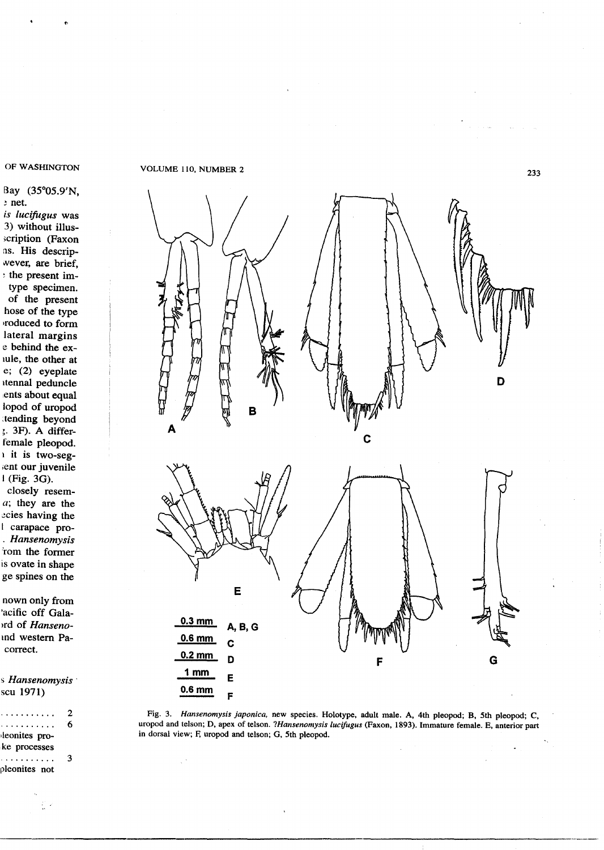#### OF WASHINGTON

tJ

#### Bay (35°05.9'N, ~ net.

*is lucifugus* was 3) without illus- >cription (Faxon ns. His descripwever, are brief, <sup>~</sup> the present imtype specimen. of the present hose of the type lroduced to form lateral margins e behind the exlUle, the other at e; (2) eyeplate Itennal peduncle lents about equal lopod of uropod ~tending beyond ;. 3F). A differfemale pleopod. I it is two-seg- ;ent our juvenile

I (Fig. 3G). closely resem*a;* they are the ~cies having the I carapace pro- . *Hansenomysis* rom the former is ovate in shape ge spines on the

nown only from 'acific off Gala- )ed of *Hanseno*and western Pacorrect.

!) *Hansenomysis* . scu 1971)

| . <b>.</b>    | 2 |
|---------------|---|
| . <u>.</u> .  | 6 |
| leonites pro- |   |
| ke processes  |   |
| . <b>.</b>    | ٩ |
| pleonites not |   |

#### VOLUME 110, NUMBER 2



Fig. 3. *Hansenomysis japonica.* new species. Holotype, adult male. A, 4th pleopod; B, 5th pleopod; C, uropod and telson; D, apex of telson. *?Hansenomysis lucifugus* (Faxon, 1893). Immature female. E, anterior part in dorsal view; F, uropod and telson; G, 5th pleopod.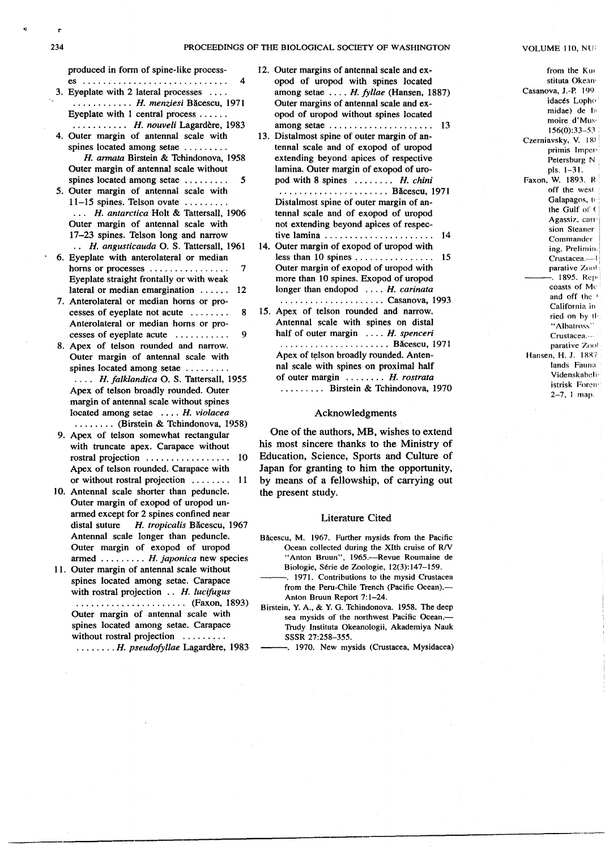produced in form of spine-like process-

- es , 4 3. Eyeplate with 2 lateral processes  $\dots$ . . . . . . . . . . *H. menziesi* Bacescu, 1971 Eyeplate with 1 central process . . . . . .
- . . . . . . . . . ., *H. nouveli* Lagardere, 1983 4. Outer margin of antennal scale with spines located among setae........
- *H. annata* Birstein & Tchindonova, 1958 Outer margin of antennal scale without spines located among setae. . . . . . . . . 5
- 5. Outer margin of antennal scale with  $11-15$  spines. Telson ovate........ . .. *H. antarctica* Holt & Tattersall, 1906 Outer margin of antennal scale with 17-23 spines. Telson long and narrow *H. angusticauda* O. S. Tattersall, 1961
- 6. Eyeplate with anterolateral or median horns or processes . . . . . . . . . . . . . . . 7 Eyeplate straight frontally or with weak lateral or median emargination  $\dots$  12
- 7. Anterolateral or median horns or processes of eyeplate not acute. . . . . . . . 8 Anterolateral or median horns or processes of eyeplate acute  $\dots \dots$  . . . . . . . 9
- 8. Apex of telson rounded and narrow. Outer margin of antennal scale with spines located among setae........ . . .. *H. falklandica* O. S. Tattersall, 1955 Apex of telson broadly rounded. Outer margin of antennal scale without spines located among setae. . . . *H. violacea* . . . . . . .. (Birstein & Tchindonova, 1958)
- 9. Apex of telson somewhat rectangular with truncate apex. Carapace without rostral projection . . . . . . . . . . . . . . . . 10 Apex of telson rounded. Carapace with or without rostral projection . . . . . . . . 11
- 10. Antennal scale shorter than peduncle. Outer margin of exopod of uropod unarmed except for 2 spines confined near distal suture *H. tropicalis* Bacescu, 1967 Antennal scale longer than peduncle. Outer margin of exopod of uropod armed. . . . . . . . . *H. japonica* new species
- 11. Outer margin of antennal scale without spines located among setae. Carapace with rostral projection.. *H. lucifugus* . . . . . . . . . . . . . . . . . . . . .. (Faxon, 1893) Outer margin of antennal scale with spines located among setae. Carapace without rostral projection . . . . . . . . . . . . . . . . . *H. pseudofyllae* Lagardere, 1983
- 12. Outer margins of antennal scale and exopod of uropod with spines located among setae. . . . *H. fyllae* (Hansen, 1887) Outer margins of antennal scale and exopod of uropod without spines located among setae. . . . . . . . . . . . . . . . . . . .. 13
- 13. Distalmost spine of outer margin of antennal scale and of exopod of uropod extending beyond' apices of respective lamina. Outer margin of exopod of uropod with 8 spines. . . . . . .. *H.chini*
	- . . . . . . . . . . . . . . . . . . . . .. Bacescu, <sup>1971</sup> Distalmost spine of outer margin of antennal scale and of exopod of uropod not extending beyond apices of respective lamina. . . . . . . . . . . . . . . . . . . . .. 14
- 14. Outer margin of exopod of uropod with less than 10 spines  $\dots \dots \dots \dots \dots$  15 Outer margin of exopod of uropod with more than. 10 spines. Exopod of uropod longer than endopod .... H. *carinata*
- "" . . . . . . . . . . . . . . . . .. . .. Casanova, 1993 15. Apex of telson rounded and narrow. Antennal scale with spines on distal half of outer margin. . . . *H. spenceri* . . . . . . . . . . . . . . . . . . . . .. Bacescu, 1971 Apex of telson broadly rounded. Antennal scale with spines on proximal half of outer margin. . . . . . .. *H. rostrata* . . . . . . . ., Birstein & Tchindonova, *1970*

#### Acknowledgments

One of the authors, MB, wishes to extend his most sincere thanks to the Ministry of Education, Science, Sports and Culture of Japan for granting to him the opportunity, by means of a fellowship, of carrying out the present study.

#### Literature Cited

- Băcescu, M. 1967. Further mysids from the Pacific Ocean collected during the XIth cruise of R/V "Anton Bruun", 1965.-Revue Roumaine de Biologie, Série de Zoologie, 12(3):147-159.
	- -. 1971. Contributions to the mysid Crustacea from the Peru-Chile Trench (Pacific Ocean).- Anton Bruun Report 7:1-24.
- Birstein, Y. *A.,* & Y: G. Tchindonova. 1958. The deep sea mysids of the northwest Pacific Ocean.— Trudy Instituta Okeanologii, Akademiya Nauk SSSR 27:258-355.
	- -. 1970. New mysids (Crustacea, Mysidacea)

#### VOLUME 110, NU:

from the Kw stituta Okean<sup>.</sup> Casanova, J.-P. 199 idacés Lopho midae) de la moire d'Mus, 156(0):33-53 Czerniavsky, V. 185 primis Imper-Petersburg N pis. 1-31. Faxon, W. 1893. R off the wesl Galapagos, Ie' the Gulf of ( Agassiz. carri sion Steaner Commander ing. Prelimin. Crustacea .--- J parative Zool . 1895. Rep<sup>.</sup> coasts of Me and off the' California in ried on by th "Albatross" Crustacea.... parative Zool Hansen, H. J. 1887 lands Fauna Videnskabeli<sub>1</sub> istrisk Forcn' 2-7, I map.

.\_~'.""""-\_.

ė

~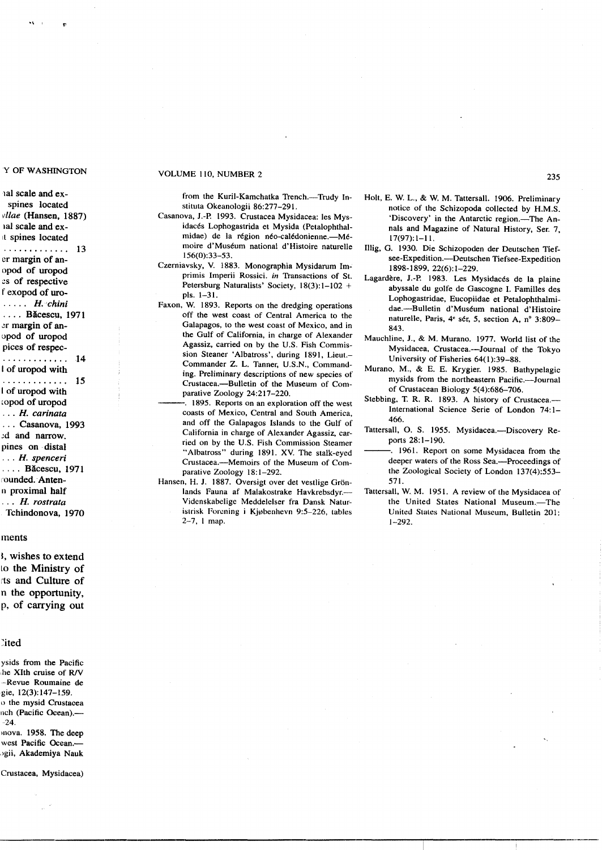**I**

"

1al scale and exspines located vllae (Hansen, 1887) lal scale and ex-It spines located . . . . . . . . . . . . 13 er margin of anopod of uropod es of respective f exopod of uro- . . . .. *H.chini* . . . . Băcescu, 1971 ~r margin of anl)pod of uropod pices of respec-. . . . . . . . . . . . . 14 I of uropod with . . . . . . . . . . . . . 15 I of uropod with lopod of uropod . . . *H. carinata* . . . Casanova, 1993 ;d and narrow. pines on distal . . . *H. spenceri* . . .. Bacescu, 1971 rounded. Antenn proximal half . . . *H. rostrata* Tchindonova, 1970

#### ments

I, wishes to extend Lo the Ministry *of* Its and Culture *of* n the opportunity, p, *of* carrying out

#### ~ited

ysids from the Pacific he XIth cruise of R/V .-Revue Roumaine de gie, 12(3): 147-159. () the mysid Crustacea neh (Pacific Ocean).- 24.

mova. 1958. The deep west Pacific Ocean.ogii, Akademiya Nauk

#### Crustacea, Mysidacea)

# Y OF WASHINGTON VOLUME 110, NUMBER 2

from the Kuril-Kamchatka Trench.-Trudy Instituta Okeanologii 86:277-291.

- Casanova, *J.-P.* 1993. Crustacea Mysidacea: les Mysidaces Lophogastrida et Mysida (Petalophthalmidae) de la région néo-calédonienne.—Mémoire d'Muséum national d'Histoire naturelle 156(0):33-53.
- Czerniavsky, V. 1883. Monographia Mysidarum Imprimis Imperii Rossici. in Transactions *of* SI. Petersburg Naturalists' Society, 18(3):1-102 + pis. 1-31.
- Faxon, W. 1893. Reports on the dredging operations off the west coast of Central America to the Galapagos, to the west coast of Mexico, and in the Gulf of California, in charge of Alexander Agassiz, carried on by the U.S. Fish Commission Steaner 'Albatross', during 1891, Lieut.-Commander Z. L. Tanner, U.S.N., Commanding. Preliminary descriptions of new species of Crustacea.---Bulletin of the Museum of Comparative Zoology 24:217-220.
	- -. 1895. Reports on an exploration off the west coasts of Mexico, Central and South America, and *off* the Galapagos Islands to the Gulf of California in charge of Alexander Agassiz, carried on by the U.S. Fish Commission Steamer "Albatross" during 1891. Xv. The stalk-eyed Crustacea.--Memoirs of the Museum of Comparative Zoology 18:1-292.
- Hansen, H. J. 1887. Oversigt over det vestlige Grönlands Fauna af Malakostrake Havkrebsdyr.-Videnskabelige Meddelelser fra Dansk Naturistrisk Forening i Kjøbenhevn 9:5-226, tables 2-7, I map.
- Holt, E. W. L., & w. M. Tattersall. 1906. Preliminary notice of the Schizopoda collected by H.M.S. 'Discovery' in the Antarctic region.—The Annals and Magazine of Natural History, Ser. 7, 17(97): 1-11.
- Illig, G. 1930. Die Schizopoden der Deutschen Tiefsee-Expedition.--Deutschen Tiefsee-Expedition 1898-1899,22(6):1-229.
- Lagardère, J.-P. 1983. Les Mysidacés de la plaine abyssale du golfe de Gascogne I. Families des Lophogastridae, Eucopiidae et Petalophthalmidae.--Bulletin d'Muséum national d'Histoire naturelle, Paris, 4" ser, 5, section A, n° 3:809- 843.
- Mauchline, *J.,* & M. Murano. 1977. World list of the Mysidacea, Crustacea.--Journal of the Tokyo University of Fisheries 64(1):39-88.
- Murano. M., & E. E. Krygier. 1985. Bathypelagic mysids from the northeastern Pacific.---Journal of Crustacean Biology 5(4):686-706.
- Stebbing, T. R. R. 1893. A history of Crustacea.-International Science Serie of London 74: 1- 466.
- Tattersall, O. S. 1955. Mysidacea.-Discovery Reports 28:1-190.
- -. 1961. Report on some Mysidacea from the deeper waters of the Ross Sea.-Proceedings of the Zoological Society of London 137(4):553- 571.
- Tattersall, W. M. 1951. A review of the Mysidacea of the United States National Museum.-The United States National Museum, Bulletin 201: 1-292.

235